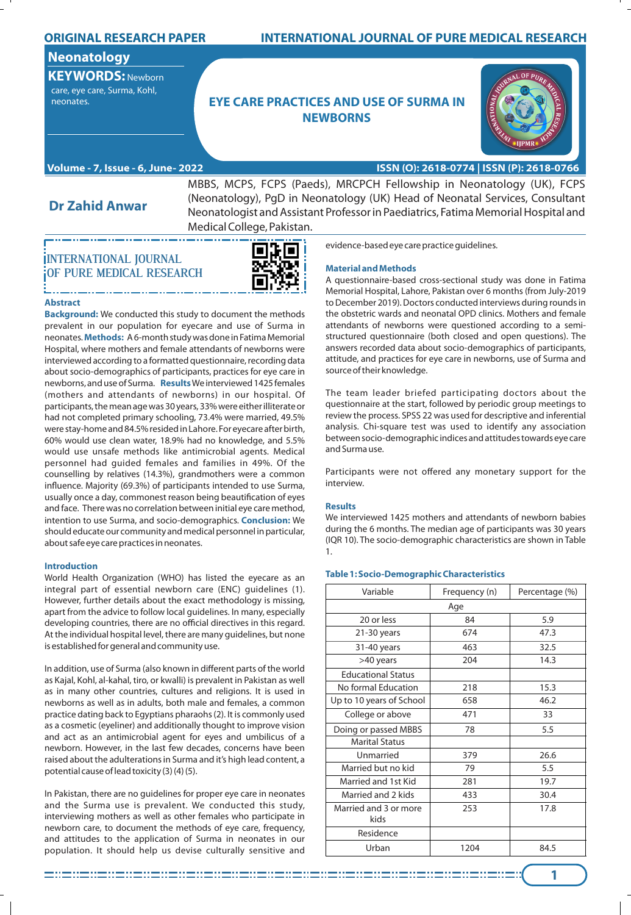## **ORIGINAL RESEARCH PAPER**

## **Neonatology**

**KEYWORDS:** Newborn care, eye care, Surma, Kohl,

## **EXECUTES AND USE OF SURMA IN EXECUTE CARE PRACTICES AND USE OF SURMA IN NEWBORNS**



## **ISSN (O): 2618-0774 | ISSN (P): 2618-0766**

**Dr Zahid Anwar**

MBBS, MCPS, FCPS (Paeds), MRCPCH Fellowship in Neonatology (UK), FCPS (Neonatology), PgD in Neonatology (UK) Head of Neonatal Services, Consultant Neonatologist and Assistant Professor in Paediatrics, Fatima Memorial Hospital and Medical College, Pakistan.

# **INTERNATIONAL JOURNAL OF PURE MEDICAL RESEARCH**

an a chun a chun a chun a chun a chun a chun a chun a c

**Volume - 7, Issue - 6, June- 2022**



#### **Abstract**

**Background:** We conducted this study to document the methods prevalent in our population for eyecare and use of Surma in neonates.**Methods:** A 6-month study was done in Fatima Memorial Hospital, where mothers and female attendants of newborns were interviewed according to a formatted questionnaire, recording data about socio-demographics of participants, practices for eye care in newborns, and use of Surma. **Results**We interviewed 1425 females (mothers and attendants of newborns) in our hospital. Of participants, the mean age was 30 years, 33% were either illiterate or had not completed primary schooling, 73.4% were married, 49.5% were stay-home and 84.5% resided in Lahore. For eyecare after birth, 60% would use clean water, 18.9% had no knowledge, and 5.5% would use unsafe methods like antimicrobial agents. Medical personnel had guided females and families in 49%. Of the counselling by relatives (14.3%), grandmothers were a common influence. Majority (69.3%) of participants intended to use Surma, usually once a day, commonest reason being beautification of eyes and face. There was no correlation between initial eye care method, intention to use Surma, and socio-demographics. **Conclusion:** We should educate our community and medical personnel in particular, about safe eye care practices in neonates.

## **Introduction**

World Health Organization (WHO) has listed the eyecare as an integral part of essential newborn care (ENC) guidelines (1). However, further details about the exact methodology is missing, apart from the advice to follow local guidelines. In many, especially developing countries, there are no official directives in this regard. At the individual hospital level, there are many guidelines, but none is established for general and community use.

In addition, use of Surma (also known in different parts of the world as Kajal, Kohl, al-kahal, tiro, or kwalli) is prevalent in Pakistan as well as in many other countries, cultures and religions. It is used in newborns as well as in adults, both male and females, a common practice dating back to Egyptians pharaohs (2). It is commonly used as a cosmetic (eyeliner) and additionally thought to improve vision and act as an antimicrobial agent for eyes and umbilicus of a newborn. However, in the last few decades, concerns have been raised about the adulterations in Surma and it's high lead content, a potential cause of lead toxicity (3) (4) (5).

In Pakistan, there are no guidelines for proper eye care in neonates and the Surma use is prevalent. We conducted this study, interviewing mothers as well as other females who participate in newborn care, to document the methods of eye care, frequency, and attitudes to the application of Surma in neonates in our population. It should help us devise culturally sensitive and

evidence-based eye care practice guidelines.

**INTERNATIONAL JOURNAL OF PURE MEDICAL RESEARCH**

#### **Material and Methods**

A questionnaire-based cross-sectional study was done in Fatima Memorial Hospital, Lahore, Pakistan over 6 months (from July-2019 to December 2019). Doctors conducted interviews during rounds in the obstetric wards and neonatal OPD clinics. Mothers and female attendants of newborns were questioned according to a semistructured questionnaire (both closed and open questions). The answers recorded data about socio-demographics of participants, attitude, and practices for eye care in newborns, use of Surma and source of their knowledge.

The team leader briefed participating doctors about the questionnaire at the start, followed by periodic group meetings to review the process. SPSS 22 was used for descriptive and inferential analysis. Chi-square test was used to identify any association between socio-demographic indices and attitudes towards eye care and Surma use.

Participants were not offered any monetary support for the interview.

#### **Results**

We interviewed 1425 mothers and attendants of newborn babies during the 6 months. The median age of participants was 30 years (IQR 10). The socio-demographic characteristics are shown in Table 1.

## **Table 1: Socio-Demographic Characteristics**

| Variable                      | Frequency (n) | Percentage (%) |  |  |  |
|-------------------------------|---------------|----------------|--|--|--|
| Age                           |               |                |  |  |  |
| 20 or less                    | 84            | 5.9            |  |  |  |
| $21-30$ years                 | 674           | 47.3           |  |  |  |
| 31-40 years                   | 463           | 32.5           |  |  |  |
| >40 years                     | 204           | 14.3           |  |  |  |
| <b>Educational Status</b>     |               |                |  |  |  |
| No formal Education           | 218           | 15.3           |  |  |  |
| Up to 10 years of School      | 658           | 46.2           |  |  |  |
| College or above              | 471           | 33             |  |  |  |
| Doing or passed MBBS          | 78            | 5.5            |  |  |  |
| <b>Marital Status</b>         |               |                |  |  |  |
| Unmarried                     | 379           | 26.6           |  |  |  |
| Married but no kid            | 79            | 5.5            |  |  |  |
| Married and 1st Kid           | 281           | 19.7           |  |  |  |
| Married and 2 kids            | 433           | 30.4           |  |  |  |
| Married and 3 or more<br>kids | 253           | 17.8           |  |  |  |
| Residence                     |               |                |  |  |  |
| Urban                         | 1204          | 84.5           |  |  |  |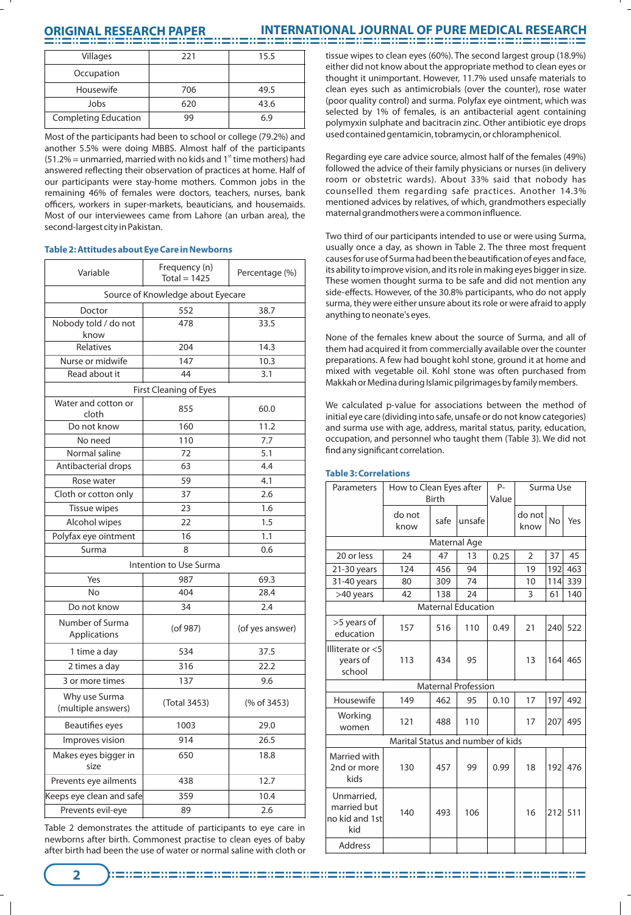## **ORIGINAL RESEARCH PAPER**

## **INTERNATIONAL JOURNAL OF PURE MEDICAL RESEARCH**

| Villages                    | 221 | 15.5 |  |
|-----------------------------|-----|------|--|
| Occupation                  |     |      |  |
| Housewife                   | 706 | 49.5 |  |
| Jobs                        | 620 | 43.6 |  |
| <b>Completing Education</b> | qq  | 6.9  |  |

Most of the participants had been to school or college (79.2%) and another 5.5% were doing MBBS. Almost half of the participants  $(51.2% =$  unmarried, married with no kids and 1<sup>st</sup> time mothers) had answered reflecting their observation of practices at home. Half of our participants were stay-home mothers. Common jobs in the remaining 46% of females were doctors, teachers, nurses, bank officers, workers in super-markets, beauticians, and housemaids. Most of our interviewees came from Lahore (an urban area), the second-largest city in Pakistan.

## **Table 2: Attitudes about Eye Care in Newborns**

| Variable                            | Frequency (n)<br>Percentage (%)<br>Total = $1425$ |                 |  |  |  |  |
|-------------------------------------|---------------------------------------------------|-----------------|--|--|--|--|
| Source of Knowledge about Eyecare   |                                                   |                 |  |  |  |  |
| Doctor                              | 552                                               | 38.7            |  |  |  |  |
| Nobody told / do not<br>know        | 478                                               | 33.5            |  |  |  |  |
| Relatives                           | 204                                               | 14.3            |  |  |  |  |
| Nurse or midwife                    | 147                                               | 10.3            |  |  |  |  |
| Read about it                       | 44                                                | 3.1             |  |  |  |  |
| First Cleaning of Eyes              |                                                   |                 |  |  |  |  |
| Water and cotton or<br>cloth        | 855                                               | 60.0            |  |  |  |  |
| Do not know                         | 160                                               | 11.2            |  |  |  |  |
| No need                             | 110                                               | 7.7             |  |  |  |  |
| Normal saline                       | 72                                                | 5.1             |  |  |  |  |
| Antibacterial drops                 | 63                                                | 4.4             |  |  |  |  |
| Rose water                          | 59                                                | 4.1             |  |  |  |  |
| Cloth or cotton only                | 37                                                | 2.6             |  |  |  |  |
| <b>Tissue wipes</b>                 | 23                                                | 1.6             |  |  |  |  |
| Alcohol wipes                       | 22                                                | 1.5             |  |  |  |  |
| Polyfax eye ointment                | 16                                                | 1.1             |  |  |  |  |
| Surma                               | 8                                                 | 0.6             |  |  |  |  |
|                                     | Intention to Use Surma                            |                 |  |  |  |  |
| Yes                                 | 987                                               | 69.3            |  |  |  |  |
| N <sub>o</sub>                      | 404                                               | 28.4            |  |  |  |  |
| Do not know                         | 34                                                | 2.4             |  |  |  |  |
| Number of Surma<br>Applications     | (of 987)                                          | (of yes answer) |  |  |  |  |
| 1 time a day                        | 534                                               | 37.5            |  |  |  |  |
| 2 times a day                       | 316                                               | 22.2            |  |  |  |  |
| 3 or more times                     | 137                                               | 9.6             |  |  |  |  |
| Why use Surma<br>(multiple answers) | (Total 3453)                                      | (% of 3453)     |  |  |  |  |
| Beautifies eyes                     | 1003                                              | 29.0            |  |  |  |  |
| Improves vision                     | 914                                               | 26.5            |  |  |  |  |
| Makes eyes bigger in<br>size        | 650                                               | 18.8            |  |  |  |  |
| Prevents eye ailments               | 438                                               | 12.7            |  |  |  |  |
| Keeps eye clean and safe            | 359                                               | 10.4            |  |  |  |  |
| Prevents evil-eye                   | 89<br>2.6                                         |                 |  |  |  |  |

Table 2 demonstrates the attitude of participants to eye care in newborns after birth. Commonest practise to clean eyes of baby after birth had been the use of water or normal saline with cloth or tissue wipes to clean eyes (60%). The second largest group (18.9%) either did not know about the appropriate method to clean eyes or thought it unimportant. However, 11.7% used unsafe materials to clean eyes such as antimicrobials (over the counter), rose water (poor quality control) and surma. Polyfax eye ointment, which was selected by 1% of females, is an antibacterial agent containing polymyxin sulphate and bacitracin zinc. Other antibiotic eye drops used contained gentamicin, tobramycin, or chloramphenicol.

Regarding eye care advice source, almost half of the females (49%) followed the advice of their family physicians or nurses (in delivery room or obstetric wards). About 33% said that nobody has counselled them regarding safe practices. Another 14.3% mentioned advices by relatives, of which, grandmothers especially maternal grandmothers were a common influence.

Two third of our participants intended to use or were using Surma, usually once a day, as shown in Table 2. The three most frequent causes for use of Surma had been the beautification of eyes and face, its ability to improve vision, and its role in making eyes bigger in size. These women thought surma to be safe and did not mention any side-effects. However, of the 30.8% participants, who do not apply surma, they were either unsure about its role or were afraid to apply anything to neonate's eyes.

None of the females knew about the source of Surma, and all of them had acquired it from commercially available over the counter preparations. A few had bought kohl stone, ground it at home and mixed with vegetable oil. Kohl stone was often purchased from Makkah or Medina during Islamic pilgrimages by family members.

We calculated p-value for associations between the method of initial eye care (dividing into safe, unsafe or do not know categories) and surma use with age, address, marital status, parity, education, occupation, and personnel who taught them (Table 3). We did not find any significant correlation.

| Parameters                                         | How to Clean Eyes after<br><b>Birth</b> |      |                           | P-<br>Value | Surma Use      |           |     |
|----------------------------------------------------|-----------------------------------------|------|---------------------------|-------------|----------------|-----------|-----|
|                                                    | do not<br>know                          | safe | unsafe                    |             | do not<br>know | <b>No</b> | Yes |
| Maternal Age                                       |                                         |      |                           |             |                |           |     |
| 20 or less                                         | 24                                      | 47   | 13                        | 0.25        | $\overline{2}$ | 37        | 45  |
| 21-30 years                                        | 124                                     | 456  | 94                        |             | 19             | 192       | 463 |
| 31-40 years                                        | 80                                      | 309  | 74                        |             | 10             | 114       | 339 |
| >40 years                                          | 42                                      | 138  | 24                        |             | 3              | 61        | 140 |
|                                                    |                                         |      | <b>Maternal Education</b> |             |                |           |     |
| >5 years of<br>education                           | 157                                     | 516  | 110                       | 0.49        | 21             | 240       | 522 |
| Illiterate or <5<br>years of<br>school             | 113                                     | 434  | 95                        |             | 13             | 164       | 465 |
| Maternal Profession                                |                                         |      |                           |             |                |           |     |
| Housewife                                          | 149                                     | 462  | 95                        | 0.10        | 17             | 197       | 492 |
| Working<br>women                                   | 121                                     | 488  | 110                       |             | 17             | 207       | 495 |
|                                                    | Marital Status and number of kids       |      |                           |             |                |           |     |
| Married with<br>2nd or more<br>kids                | 130                                     | 457  | 99                        | 0.99        | 18             | 192       | 476 |
| Unmarried,<br>married but<br>no kid and 1st<br>kid | 140                                     | 493  | 106                       |             | 16             | 212       | 511 |
| <b>Address</b>                                     |                                         |      |                           |             |                |           |     |

## **Table 3: Correlations**

**2**